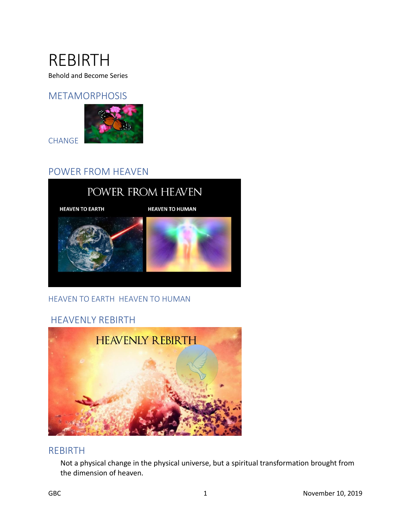

Behold and Become Series

### METAMORPHOSIS



CHANGE

# POWER FROM HEAVEN



### HEAVEN TO EARTH HEAVEN TO HUMAN

# HEAVENLY REBIRTH



### REBIRTH

Not a physical change in the physical universe, but a spiritual transformation brought from the dimension of heaven.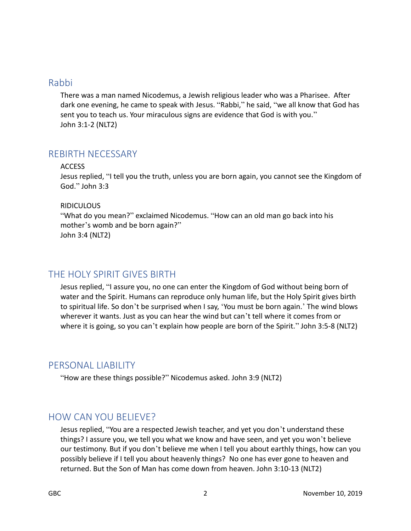### Rabbi

There was a man named Nicodemus, a Jewish religious leader who was a Pharisee. After dark one evening, he came to speak with Jesus. "Rabbi," he said, "we all know that God has sent you to teach us. Your miraculous signs are evidence that God is with you." John 3:1-2 (NLT2)

# REBIRTH NECESSARY

#### ACCESS

Jesus replied, "I tell you the truth, unless you are born again, you cannot see the Kingdom of God." John 3:3

#### RIDICULOUS

"What do you mean?" exclaimed Nicodemus. "How can an old man go back into his mother's womb and be born again?" John 3:4 (NLT2)

# THE HOLY SPIRIT GIVES BIRTH

Jesus replied, "I assure you, no one can enter the Kingdom of God without being born of water and the Spirit. Humans can reproduce only human life, but the Holy Spirit gives birth to spiritual life. So don't be surprised when I say, 'You must be born again.' The wind blows wherever it wants. Just as you can hear the wind but can't tell where it comes from or where it is going, so you can't explain how people are born of the Spirit." John 3:5-8 (NLT2)

# PERSONAL LIABILITY

"How are these things possible?" Nicodemus asked. John 3:9 (NLT2)

# HOW CAN YOU BELIEVE?

Jesus replied, "You are a respected Jewish teacher, and yet you don't understand these things? I assure you, we tell you what we know and have seen, and yet you won't believe our testimony. But if you don't believe me when I tell you about earthly things, how can you possibly believe if I tell you about heavenly things? No one has ever gone to heaven and returned. But the Son of Man has come down from heaven. John 3:10-13 (NLT2)